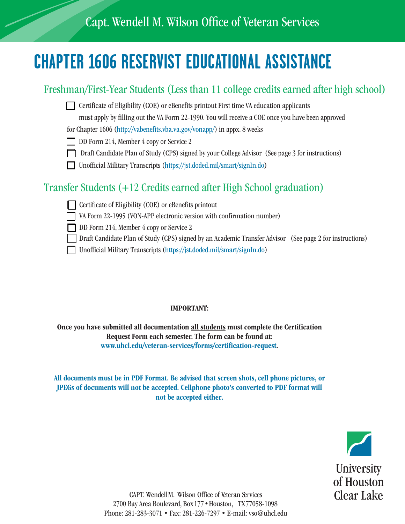# **CHAPTER 1606 RESERVIST EDUCATIONAL ASSISTANCE**

### Freshman/First-Year Students (Less than 11 college credits earned after high school)

 $\Box$  Certificate of Eligibility (COE) or eBenefits printout First time VA education applicants

must apply by filling out the VA Form 22-1990. You will receive a COE once you have been approved

for Chapter 1606 (http://vabenefits.vba.va.gov/vonapp/) in appx. 8 weeks

- DD Form 214, Member 4 copy or Service 2
- $\Box$  Draft Candidate Plan of Study (CPS) signed by your College Advisor (See page 3 for instructions)
- F Unofficial Military Transcripts (https://jst.doded.mil/smart/signIn.do)

### Transfer Students (+12 Credits earned after High School graduation)

- $\Box$  Certificate of Eligibility (COE) or eBenefits printout
	- VA Form 22-1995 (VON-APP electronic version with confirmation number)
- DD Form 214, Member 4 copy or Service 2
	- Draft Candidate Plan of Study (CPS) signed by an Academic Transfer Advisor (See page 2 for instructions)
	- F Unofficial Military Transcripts (https://jst.doded.mil/smart/signIn.do)

#### IMPORTANT:

Once you have submitted all documentation all students must complete the Certification Request Form each semester. The form can be found at: www.uhcl.edu/veteran-services/forms/certification-request.

All documents must be in PDF Format. Be advised that screen shots, cell phone pictures, or JPEGs of documents will not be accepted. Cellphone photo's converted to PDF format will not be accepted either.



CAPT. Wendell M. Wilson Office of Veteran Services 2700 Bay Area Boulevard, Box 177 • Houston, TX 77058-1098 Phone: 281-283-3071 • Fax: 281-226-7297 • E-mail: vso@uhcl.edu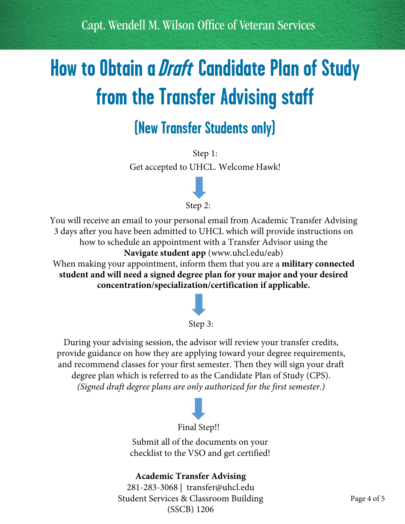Capt. Wendell M. Wilson Office of Veteran Services

# **How to Obtain a Draft Candidate Plan of Study from the Transfer Advising staff**

## **(New Transfer Students only)**

Step 1: Get accepted to UHCL. Welcome Hawk!



You will receive an email to your personal email from Academic Transfer Advising 3 days after you have been admitted to UHCL which will provide instructions on how to schedule an appointment with a Transfer Advisor using the **Navigate student app** [\(www.uhcl.edu/eab\)](www.uhcl.edu/eab)

When making your appointment, inform them that you are a **military connected student and will need a signed degree plan for your major and your desired concentration/specialization/certification if applicable.**



#### Step 3:

During your advising session, the advisor will review your transfer credits, provide guidance on how they are applying toward your degree requirements, and recommend classes for your first semester. Then they will sign your draft degree plan which is referred to as the Candidate Plan of Study (CPS). *(Signed draft degree plans are only authorized for the first semester.)*



Submit all of the documents on your checklist to the VSO and get certified!

### **Academic Transfer Advising**

281-283-3068 | transfer@uhcl.edu Student Services & Classroom Building (SSCB) 1206